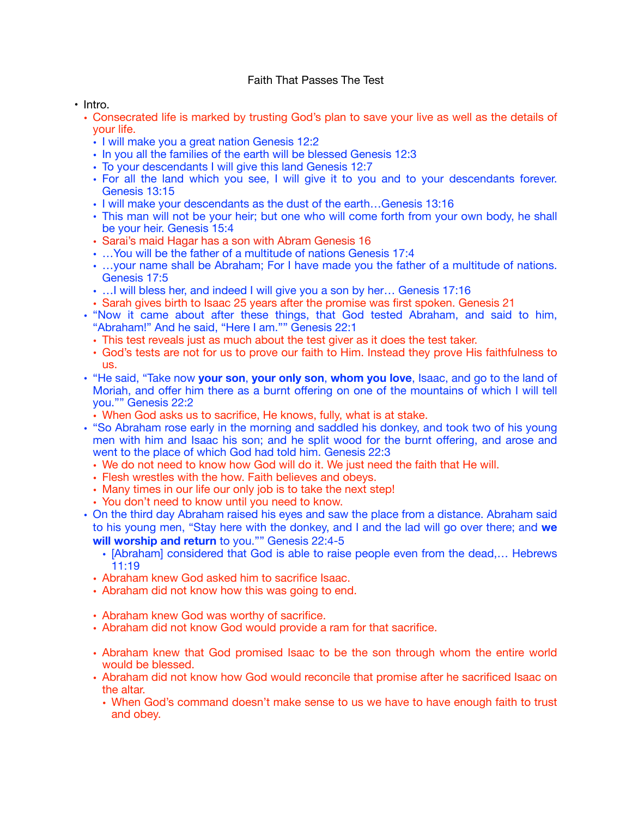## Faith That Passes The Test

• Intro.

- Consecrated life is marked by trusting God's plan to save your live as well as the details of your life.
	- I will make you a great nation Genesis 12:2
	- In you all the families of the earth will be blessed Genesis 12:3
	- To your descendants I will give this land Genesis 12:7
	- For all the land which you see, I will give it to you and to your descendants forever. Genesis 13:15
	- I will make your descendants as the dust of the earth…Genesis 13:16
	- This man will not be your heir; but one who will come forth from your own body, he shall be your heir. Genesis 15:4
	- Sarai's maid Hagar has a son with Abram Genesis 16
	- …You will be the father of a multitude of nations Genesis 17:4
	- …your name shall be Abraham; For I have made you the father of a multitude of nations. Genesis 17:5
	- …I will bless her, and indeed I will give you a son by her… Genesis 17:16
	- Sarah gives birth to Isaac 25 years after the promise was first spoken. Genesis 21
- "Now it came about after these things, that God tested Abraham, and said to him, "Abraham!" And he said, "Here I am."" Genesis 22:1
	- This test reveals just as much about the test giver as it does the test taker.
	- God's tests are not for us to prove our faith to Him. Instead they prove His faithfulness to us.
- "He said, "Take now **your son**, **your only son**, **whom you love**, Isaac, and go to the land of Moriah, and offer him there as a burnt offering on one of the mountains of which I will tell you."" Genesis 22:2
	- When God asks us to sacrifice, He knows, fully, what is at stake.
- "So Abraham rose early in the morning and saddled his donkey, and took two of his young men with him and Isaac his son; and he split wood for the burnt offering, and arose and went to the place of which God had told him. Genesis 22:3
	- We do not need to know how God will do it. We just need the faith that He will.
	- Flesh wrestles with the how. Faith believes and obeys.
	- Many times in our life our only job is to take the next step!
	- You don't need to know until you need to know.
- On the third day Abraham raised his eyes and saw the place from a distance. Abraham said to his young men, "Stay here with the donkey, and I and the lad will go over there; and **we will worship and return** to you."" Genesis 22:4-5
	- [Abraham] considered that God is able to raise people even from the dead,… Hebrews 11:19
	- Abraham knew God asked him to sacrifice Isaac.
	- Abraham did not know how this was going to end.
	- Abraham knew God was worthy of sacrifice.
	- Abraham did not know God would provide a ram for that sacrifice.
	- Abraham knew that God promised Isaac to be the son through whom the entire world would be blessed.
	- Abraham did not know how God would reconcile that promise after he sacrificed Isaac on the altar.
		- When God's command doesn't make sense to us we have to have enough faith to trust and obey.